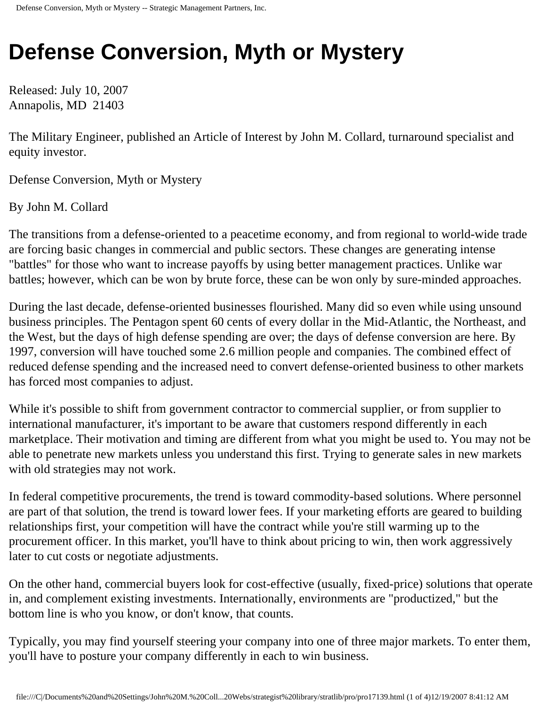# **Defense Conversion, Myth or Mystery**

Released: July 10, 2007 Annapolis, MD 21403

The Military Engineer, published an Article of Interest by John M. Collard, turnaround specialist and equity investor.

Defense Conversion, Myth or Mystery

By John M. Collard

The transitions from a defense-oriented to a peacetime economy, and from regional to world-wide trade are forcing basic changes in commercial and public sectors. These changes are generating intense "battles" for those who want to increase payoffs by using better management practices. Unlike war battles; however, which can be won by brute force, these can be won only by sure-minded approaches.

During the last decade, defense-oriented businesses flourished. Many did so even while using unsound business principles. The Pentagon spent 60 cents of every dollar in the Mid-Atlantic, the Northeast, and the West, but the days of high defense spending are over; the days of defense conversion are here. By 1997, conversion will have touched some 2.6 million people and companies. The combined effect of reduced defense spending and the increased need to convert defense-oriented business to other markets has forced most companies to adjust.

While it's possible to shift from government contractor to commercial supplier, or from supplier to international manufacturer, it's important to be aware that customers respond differently in each marketplace. Their motivation and timing are different from what you might be used to. You may not be able to penetrate new markets unless you understand this first. Trying to generate sales in new markets with old strategies may not work.

In federal competitive procurements, the trend is toward commodity-based solutions. Where personnel are part of that solution, the trend is toward lower fees. If your marketing efforts are geared to building relationships first, your competition will have the contract while you're still warming up to the procurement officer. In this market, you'll have to think about pricing to win, then work aggressively later to cut costs or negotiate adjustments.

On the other hand, commercial buyers look for cost-effective (usually, fixed-price) solutions that operate in, and complement existing investments. Internationally, environments are "productized," but the bottom line is who you know, or don't know, that counts.

Typically, you may find yourself steering your company into one of three major markets. To enter them, you'll have to posture your company differently in each to win business.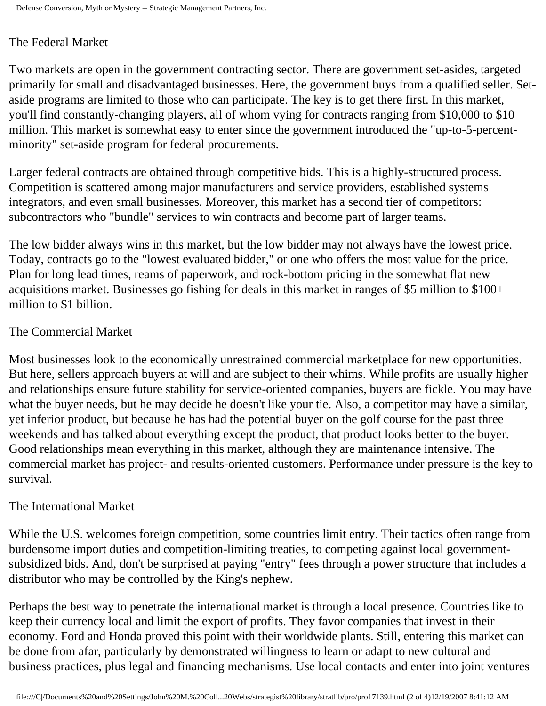## The Federal Market

Two markets are open in the government contracting sector. There are government set-asides, targeted primarily for small and disadvantaged businesses. Here, the government buys from a qualified seller. Setaside programs are limited to those who can participate. The key is to get there first. In this market, you'll find constantly-changing players, all of whom vying for contracts ranging from \$10,000 to \$10 million. This market is somewhat easy to enter since the government introduced the "up-to-5-percentminority" set-aside program for federal procurements.

Larger federal contracts are obtained through competitive bids. This is a highly-structured process. Competition is scattered among major manufacturers and service providers, established systems integrators, and even small businesses. Moreover, this market has a second tier of competitors: subcontractors who "bundle" services to win contracts and become part of larger teams.

The low bidder always wins in this market, but the low bidder may not always have the lowest price. Today, contracts go to the "lowest evaluated bidder," or one who offers the most value for the price. Plan for long lead times, reams of paperwork, and rock-bottom pricing in the somewhat flat new acquisitions market. Businesses go fishing for deals in this market in ranges of \$5 million to \$100+ million to \$1 billion.

## The Commercial Market

Most businesses look to the economically unrestrained commercial marketplace for new opportunities. But here, sellers approach buyers at will and are subject to their whims. While profits are usually higher and relationships ensure future stability for service-oriented companies, buyers are fickle. You may have what the buyer needs, but he may decide he doesn't like your tie. Also, a competitor may have a similar, yet inferior product, but because he has had the potential buyer on the golf course for the past three weekends and has talked about everything except the product, that product looks better to the buyer. Good relationships mean everything in this market, although they are maintenance intensive. The commercial market has project- and results-oriented customers. Performance under pressure is the key to survival.

## The International Market

While the U.S. welcomes foreign competition, some countries limit entry. Their tactics often range from burdensome import duties and competition-limiting treaties, to competing against local governmentsubsidized bids. And, don't be surprised at paying "entry" fees through a power structure that includes a distributor who may be controlled by the King's nephew.

Perhaps the best way to penetrate the international market is through a local presence. Countries like to keep their currency local and limit the export of profits. They favor companies that invest in their economy. Ford and Honda proved this point with their worldwide plants. Still, entering this market can be done from afar, particularly by demonstrated willingness to learn or adapt to new cultural and business practices, plus legal and financing mechanisms. Use local contacts and enter into joint ventures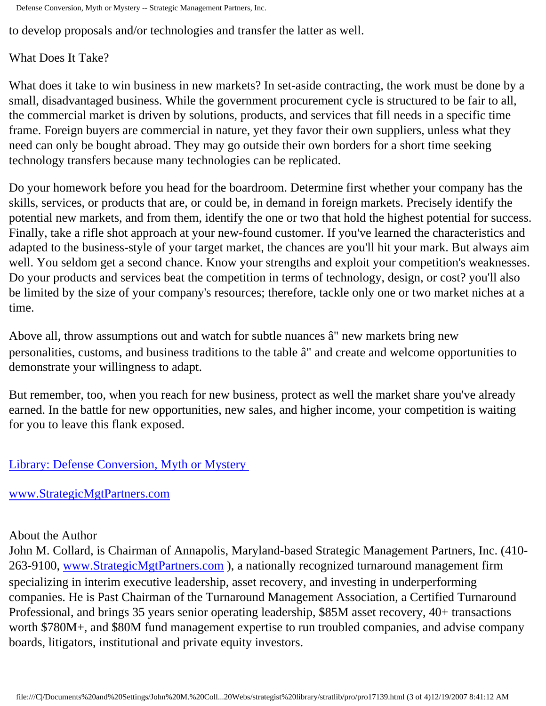Defense Conversion, Myth or Mystery -- Strategic Management Partners, Inc.

to develop proposals and/or technologies and transfer the latter as well.

What Does It Take?

What does it take to win business in new markets? In set-aside contracting, the work must be done by a small, disadvantaged business. While the government procurement cycle is structured to be fair to all, the commercial market is driven by solutions, products, and services that fill needs in a specific time frame. Foreign buyers are commercial in nature, yet they favor their own suppliers, unless what they need can only be bought abroad. They may go outside their own borders for a short time seeking technology transfers because many technologies can be replicated.

Do your homework before you head for the boardroom. Determine first whether your company has the skills, services, or products that are, or could be, in demand in foreign markets. Precisely identify the potential new markets, and from them, identify the one or two that hold the highest potential for success. Finally, take a rifle shot approach at your new-found customer. If you've learned the characteristics and adapted to the business-style of your target market, the chances are you'll hit your mark. But always aim well. You seldom get a second chance. Know your strengths and exploit your competition's weaknesses. Do your products and services beat the competition in terms of technology, design, or cost? you'll also be limited by the size of your company's resources; therefore, tackle only one or two market niches at a time.

Above all, throw assumptions out and watch for subtle nuances  $\hat{a} \in \mathbb{C}^n$  new markets bring new personalities, customs, and business traditions to the table  $\hat{a} \in \mathbb{T}$  and create and welcome opportunities to demonstrate your willingness to adapt.

But remember, too, when you reach for new business, protect as well the market share you've already earned. In the battle for new opportunities, new sales, and higher income, your competition is waiting for you to leave this flank exposed.

## [Library: Defense Conversion, Myth or Mystery](http://members.aol.com/stratlib3/tmedef.html)

#### [www.StrategicMgtPartners.com](http://www.strategicmgtpartners.com/)

#### About the Author

John M. Collard, is Chairman of Annapolis, Maryland-based Strategic Management Partners, Inc. (410 263-9100, [www.StrategicMgtPartners.com](http://www.strategicmgtpartners.com/) ), a nationally recognized turnaround management firm specializing in interim executive leadership, asset recovery, and investing in underperforming companies. He is Past Chairman of the Turnaround Management Association, a Certified Turnaround Professional, and brings 35 years senior operating leadership, \$85M asset recovery, 40+ transactions worth \$780M+, and \$80M fund management expertise to run troubled companies, and advise company boards, litigators, institutional and private equity investors.